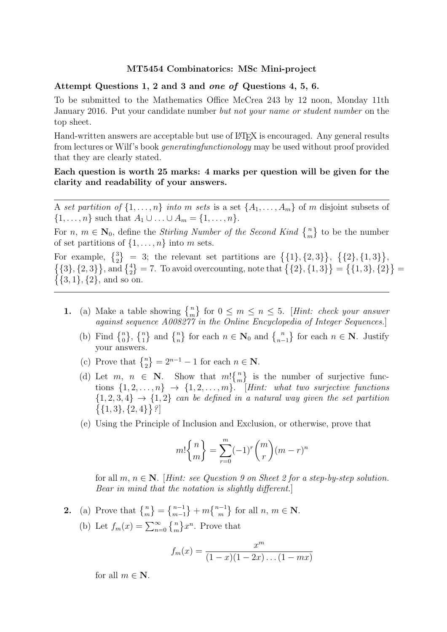## MT5454 Combinatorics: MSc Mini-project

## Attempt Questions 1, 2 and 3 and one of Questions 4, 5, 6.

To be submitted to the Mathematics Office McCrea 243 by 12 noon, Monday 11th January 2016. Put your candidate number but not your name or student number on the top sheet.

Hand-written answers are acceptable but use of  $\rm ETrX$  is encouraged. Any general results from lectures or Wilf's book generatingfunctionology may be used without proof provided that they are clearly stated.

Each question is worth 25 marks: 4 marks per question will be given for the clarity and readability of your answers.

A set partition of  $\{1, \ldots, n\}$  into m sets is a set  $\{A_1, \ldots, A_m\}$  of m disjoint subsets of  $\{1, \ldots, n\}$  such that  $A_1 \cup \ldots \cup A_m = \{1, \ldots, n\}.$ 

For  $n, m \in \mathbb{N}_0$ , define the *Stirling Number of the Second Kind*  $\{n \atop m\}$  to be the number of set partitions of  $\{1, \ldots, n\}$  into m sets.

For example,  $\{3\} = 3$ ; the relevant set partitions are  $\{\{1\}, \{2, 3\}\}, \{\{2\}, \{1, 3\}\},\$  $\{\{3\},\{2,3\}\}\$ , and  $\{\frac{4}{2}\}=7$ . To avoid overcounting, note that  $\{\{2\},\{1,3\}\}=\{\{1,3\},\{2\}\}=$  $\{\{3, 1\}, \{2\}, \text{ and so on.}\$ 

- 1. (a) Make a table showing  $\{n \atop m\}$  for  $0 \le m \le n \le 5$ . [Hint: check your answer against sequence A008277 in the Online Encyclopedia of Integer Sequences.
	- (b) Find  $\{n\brace 0$ ,  $\{n\brace 1$  and  $\{n\brace n}$  for each  $n \in \mathbb{N}_0$  and  $\{n\brace n-1$  for each  $n \in \mathbb{N}$ . Justify your answers.
	- (c) Prove that  $\{n \atop 2\} = 2^{n-1} 1$  for each  $n \in \mathbb{N}$ .
	- (d) Let  $m, n \in \mathbb{N}$ . Show that  $m \begin{bmatrix} n \\ m \end{bmatrix}$  is the number of surjective functions  $\{1, 2, \ldots, n\}$   $\rightarrow$   $\{1, 2, \ldots, m\}$ . [Hint: what two surjective functions  ${1, 2, 3, 4} \rightarrow {1, 2}$  can be defined in a natural way given the set partition  $\{\{1,3\},\{2,4\}\}\$  ?
	- (e) Using the Principle of Inclusion and Exclusion, or otherwise, prove that

$$
m! \binom{n}{m} = \sum_{r=0}^{m} (-1)^r \binom{m}{r} (m-r)^n
$$

for all  $m, n \in \mathbb{N}$ . [Hint: see Question 9 on Sheet 2 for a step-by-step solution. Bear in mind that the notation is slightly different.]

2. (a) Prove that  $\{m\} = \{m-1\} + m\{m-1\}$  for all  $n, m \in \mathbb{N}$ . (b) Let  $f_m(x) = \sum_{n=0}^{\infty} \{m \} x^n$ . Prove that

$$
f_m(x) = \frac{x^m}{(1-x)(1-2x)\dots(1-mx)}
$$

for all  $m \in \mathbb{N}$ .